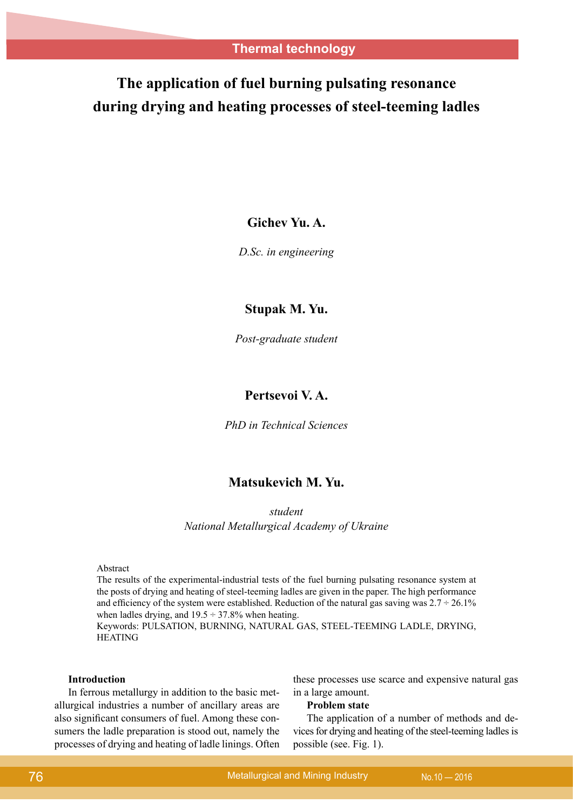# **The application of fuel burning pulsating resonance during drying and heating processes of steel-teeming ladles**

# **Gichev Yu. A.**

*D.Sc. in engineering*

## **Stupak M. Yu.**

*Post-graduate student*

# **Pertsevoi V. A.**

*PhD in Technical Sciences*

# **Matsukevich M. Yu.**

*student National Metallurgical Academy of Ukraine*

#### Abstract

The results of the experimental-industrial tests of the fuel burning pulsating resonance system at the posts of drying and heating of steel-teeming ladles are given in the paper. The high performance and efficiency of the system were established. Reduction of the natural gas saving was  $2.7 \div 26.1\%$ when ladles drying, and  $19.5 \div 37.8\%$  when heating.

Keywords: PULSATION, BURNING, NATURAL GAS, STEEL-TEEMING LADLE, DRYING, HEATING

#### **Introduction**

In ferrous metallurgy in addition to the basic metallurgical industries a number of ancillary areas are also significant consumers of fuel. Among these consumers the ladle preparation is stood out, namely the processes of drying and heating of ladle linings. Often these processes use scarce and expensive natural gas in a large amount.

#### **Problem state**

The application of a number of methods and devices for drying and heating of the steel-teeming ladles is possible (see. Fig. 1).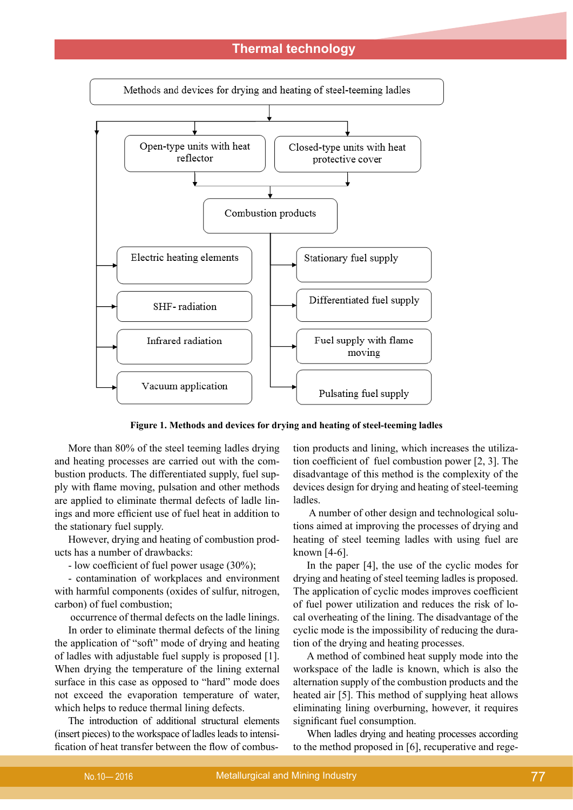

**Figure 1. Methods and devices for drying and heating of steel-teeming ladles**

More than 80% of the steel teeming ladles drying and heating processes are carried out with the combustion products. The differentiated supply, fuel supply with flame moving, pulsation and other methods are applied to eliminate thermal defects of ladle linings and more efficient use of fuel heat in addition to the stationary fuel supply.

However, drying and heating of combustion products has a number of drawbacks:

- low coefficient of fuel power usage (30%);

- contamination of workplaces and environment with harmful components (oxides of sulfur, nitrogen, carbon) of fuel combustion;

occurrence of thermal defects on the ladle linings.

In order to eliminate thermal defects of the lining the application of "soft" mode of drying and heating of ladles with adjustable fuel supply is proposed [1]. When drying the temperature of the lining external surface in this case as opposed to "hard" mode does not exceed the evaporation temperature of water, which helps to reduce thermal lining defects.

The introduction of additional structural elements (insert pieces) to the workspace of ladles leads to intensification of heat transfer between the flow of combus-

tion products and lining, which increases the utilization coefficient of fuel combustion power [2, 3]. The disadvantage of this method is the complexity of the devices design for drying and heating of steel-teeming ladles.

 A number of other design and technological solutions aimed at improving the processes of drying and heating of steel teeming ladles with using fuel are known [4-6].

In the paper [4], the use of the cyclic modes for drying and heating of steel teeming ladles is proposed. The application of cyclic modes improves coefficient of fuel power utilization and reduces the risk of local overheating of the lining. The disadvantage of the cyclic mode is the impossibility of reducing the duration of the drying and heating processes.

A method of combined heat supply mode into the workspace of the ladle is known, which is also the alternation supply of the combustion products and the heated air [5]. This method of supplying heat allows eliminating lining overburning, however, it requires significant fuel consumption.

When ladles drying and heating processes according to the method proposed in [6], recuperative and rege-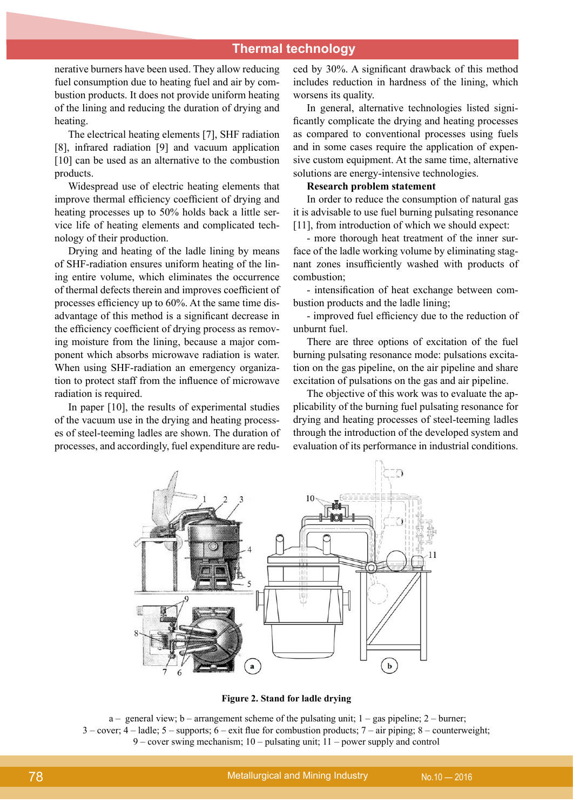nerative burners have been used. They allow reducing fuel consumption due to heating fuel and air by combustion products. It does not provide uniform heating of the lining and reducing the duration of drying and heating.

The electrical heating elements [7], SHF radiation [8], infrared radiation [9] and vacuum application [10] can be used as an alternative to the combustion products.

Widespread use of electric heating elements that improve thermal efficiency coefficient of drying and heating processes up to 50% holds back a little service life of heating elements and complicated technology of their production.

Drying and heating of the ladle lining by means of SHF-radiation ensures uniform heating of the lining entire volume, which eliminates the occurrence of thermal defects therein and improves coefficient of processes efficiency up to 60%. At the same time disadvantage of this method is a significant decrease in the efficiency coefficient of drying process as removing moisture from the lining, because a major component which absorbs microwave radiation is water. When using SHF-radiation an emergency organization to protect staff from the influence of microwave radiation is required.

In paper [10], the results of experimental studies of the vacuum use in the drying and heating processes of steel-teeming ladles are shown. The duration of processes, and accordingly, fuel expenditure are redu-

ced by 30%. A significant drawback of this method includes reduction in hardness of the lining, which worsens its quality.

In general, alternative technologies listed significantly complicate the drying and heating processes as compared to conventional processes using fuels and in some cases require the application of expensive custom equipment. At the same time, alternative solutions are energy-intensive technologies.

#### **Research problem statement**

In order to reduce the consumption of natural gas it is advisable to use fuel burning pulsating resonance [11], from introduction of which we should expect:

- more thorough heat treatment of the inner surface of the ladle working volume by eliminating stagnant zones insufficiently washed with products of combustion;

- intensification of heat exchange between combustion products and the ladle lining;

- improved fuel efficiency due to the reduction of unburnt fuel.

There are three options of excitation of the fuel burning pulsating resonance mode: pulsations excitation on the gas pipeline, on the air pipeline and share excitation of pulsations on the gas and air pipeline.

The objective of this work was to evaluate the applicability of the burning fuel pulsating resonance for drying and heating processes of steel-teeming ladles through the introduction of the developed system and evaluation of its performance in industrial conditions.



**Figure 2. Stand for ladle drying**

a – general view; b – arrangement scheme of the pulsating unit; 1 – gas pipeline; 2 – burner; 3 – cover; 4 – ladle; 5 – supports; 6 – exit flue for combustion products; 7 – air piping; 8 – counterweight; 9 – cover swing mechanism; 10 – pulsating unit; 11 – power supply and control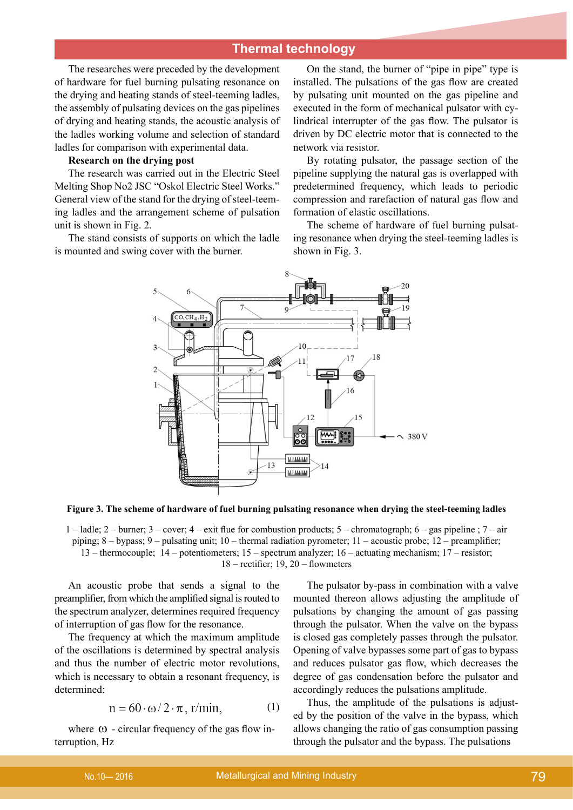The researches were preceded by the development of hardware for fuel burning pulsating resonance on the drying and heating stands of steel-teeming ladles, the assembly of pulsating devices on the gas pipelines of drying and heating stands, the acoustic analysis of the ladles working volume and selection of standard ladles for comparison with experimental data.

### **Research on the drying post**

The research was carried out in the Electric Steel Melting Shop No2 JSC "Oskol Electric Steel Works." General view of the stand for the drying of steel-teeming ladles and the arrangement scheme of pulsation unit is shown in Fig. 2.

The stand consists of supports on which the ladle is mounted and swing cover with the burner.

On the stand, the burner of "pipe in pipe" type is installed. The pulsations of the gas flow are created by pulsating unit mounted on the gas pipeline and executed in the form of mechanical pulsator with cylindrical interrupter of the gas flow. The pulsator is driven by DC electric motor that is connected to the network via resistor.

By rotating pulsator, the passage section of the pipeline supplying the natural gas is overlapped with predetermined frequency, which leads to periodic compression and rarefaction of natural gas flow and formation of elastic oscillations.

The scheme of hardware of fuel burning pulsating resonance when drying the steel-teeming ladles is shown in Fig. 3.



**Figure 3. The scheme of hardware of fuel burning pulsating resonance when drying the steel-teeming ladles** 

1 – ladle; 2 – burner; 3 – cover; 4 – exit flue for combustion products; 5 – chromatograph; 6 – gas pipeline ; 7 – air piping; 8 – bypass; 9 – pulsating unit; 10 – thermal radiation pyrometer; 11 – acoustic probe; 12 – preamplifier; 13 – thermocouple; 14 – potentiometers; 15 – spectrum analyzer; 16 – actuating mechanism; 17 – resistor; 18 – rectifier; 19, 20 – flowmeters

An acoustic probe that sends a signal to the preamplifier, from which the amplified signal is routed to the spectrum analyzer, determines required frequency of interruption of gas flow for the resonance.

The frequency at which the maximum amplitude of the oscillations is determined by spectral analysis and thus the number of electric motor revolutions, which is necessary to obtain a resonant frequency, is determined:

$$
n = 60 \cdot \omega / 2 \cdot \pi, r/min,
$$
 (1)

where  $\omega$  - circular frequency of the gas flow interruption, Hz

The pulsator by-pass in combination with a valve mounted thereon allows adjusting the amplitude of pulsations by changing the amount of gas passing through the pulsator. When the valve on the bypass is closed gas completely passes through the pulsator. Opening of valve bypasses some part of gas to bypass and reduces pulsator gas flow, which decreases the degree of gas condensation before the pulsator and accordingly reduces the pulsations amplitude.

Thus, the amplitude of the pulsations is adjusted by the position of the valve in the bypass, which allows changing the ratio of gas consumption passing through the pulsator and the bypass. The pulsations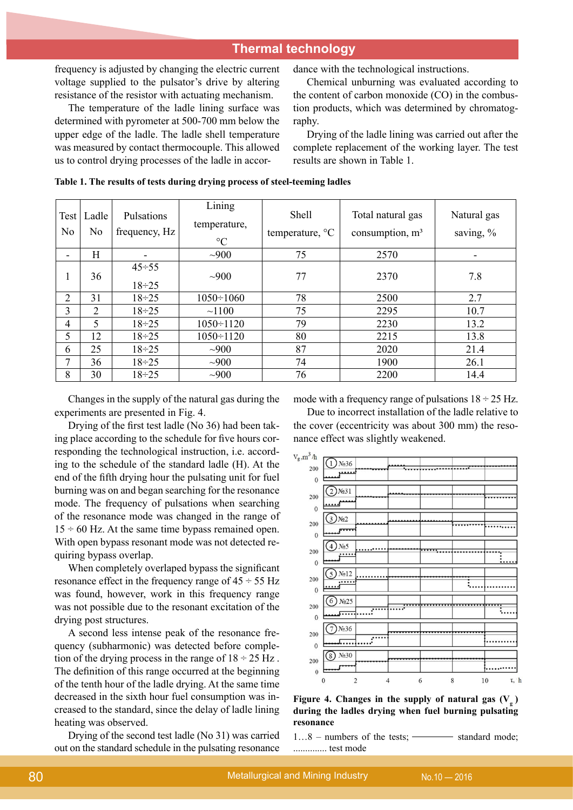frequency is adjusted by changing the electric current voltage supplied to the pulsator's drive by altering resistance of the resistor with actuating mechanism.

The temperature of the ladle lining surface was determined with pyrometer at 500-700 mm below the upper edge of the ladle. The ladle shell temperature was measured by contact thermocouple. This allowed us to control drying processes of the ladle in accordance with the technological instructions.

Chemical unburning was evaluated according to the content of carbon monoxide (CO) in the combustion products, which was determined by chromatography.

Drying of the ladle lining was carried out after the complete replacement of the working layer. The test results are shown in Table 1.

|  |  |  |  | Table 1. The results of tests during drying process of steel-teeming ladles |
|--|--|--|--|-----------------------------------------------------------------------------|
|--|--|--|--|-----------------------------------------------------------------------------|

| Test<br>N <sub>o</sub>   | Ladle<br>N <sub>0</sub> | Pulsations<br>frequency, Hz  | Lining<br>temperature,<br>$\rm ^{\circ}C$ | Shell<br>temperature, $\mathrm{C}$ | Total natural gas<br>consumption, $m3$ | Natural gas<br>saving, % |
|--------------------------|-------------------------|------------------------------|-------------------------------------------|------------------------------------|----------------------------------------|--------------------------|
| $\overline{\phantom{0}}$ | Н                       | $\overline{\phantom{a}}$     | ~1000                                     | 75                                 | 2570                                   |                          |
| 1                        | 36                      | $45 \div 55$<br>$18 \div 25$ | $\sim 900$                                | 77                                 | 2370                                   | 7.8                      |
| 2                        | 31                      | $18 \div 25$                 | $1050 \div 1060$                          | 78                                 | 2500                                   | 2.7                      |
| 3                        | 2                       | $18 \div 25$                 | ~1100                                     | 75                                 | 2295                                   | 10.7                     |
| $\overline{4}$           | 5                       | $18 \div 25$                 | $1050 \div 1120$                          | 79                                 | 2230                                   | 13.2                     |
| 5                        | 12                      | $18 \div 25$                 | $1050 \div 1120$                          | 80                                 | 2215                                   | 13.8                     |
| 6                        | 25                      | $18 \div 25$                 | $-900$                                    | 87                                 | 2020                                   | 21.4                     |
| 7                        | 36                      | $18 \div 25$                 | ~1000                                     | 74                                 | 1900                                   | 26.1                     |
| 8                        | 30                      | $18 \div 25$                 | ~1000                                     | 76                                 | 2200                                   | 14.4                     |

Changes in the supply of the natural gas during the experiments are presented in Fig. 4.

Drying of the first test ladle (No 36) had been taking place according to the schedule for five hours corresponding the technological instruction, i.e. according to the schedule of the standard ladle (H). At the end of the fifth drying hour the pulsating unit for fuel burning was on and began searching for the resonance mode. The frequency of pulsations when searching of the resonance mode was changed in the range of  $15 \div 60$  Hz. At the same time bypass remained open. With open bypass resonant mode was not detected requiring bypass overlap.

When completely overlaped bypass the significant resonance effect in the frequency range of  $45 \div 55$  Hz was found, however, work in this frequency range was not possible due to the resonant excitation of the drying post structures.

A second less intense peak of the resonance frequency (subharmonic) was detected before completion of the drying process in the range of  $18 \div 25$  Hz. The definition of this range occurred at the beginning of the tenth hour of the ladle drying. At the same time decreased in the sixth hour fuel consumption was increased to the standard, since the delay of ladle lining heating was observed.

Drying of the second test ladle (No 31) was carried out on the standard schedule in the pulsating resonance mode with a frequency range of pulsations  $18 \div 25$  Hz.

Due to incorrect installation of the ladle relative to the cover (eccentricity was about 300 mm) the resonance effect was slightly weakened.



Figure 4. Changes in the supply of natural gas  $(V_a)$ **during the ladles drying when fuel burning pulsating resonance** 

1...8 – numbers of the tests; <u>in standard mode</u>; .............. test mode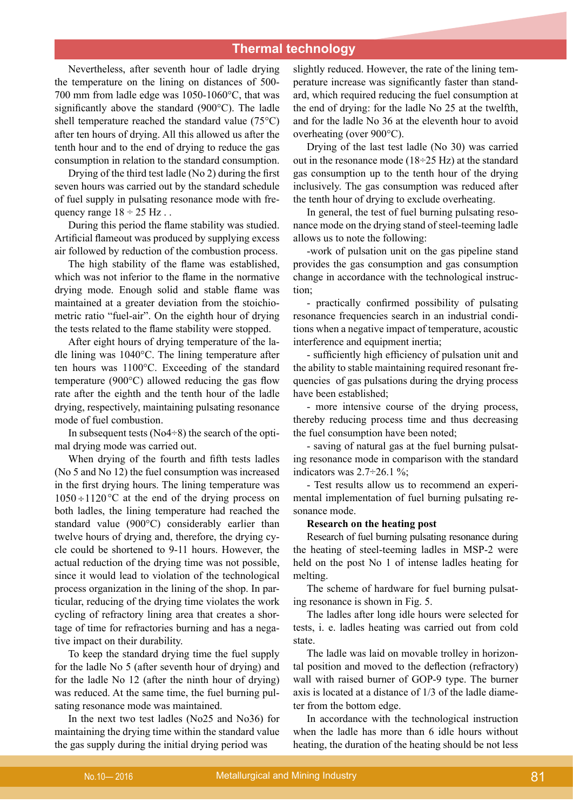Nevertheless, after seventh hour of ladle drying the temperature on the lining on distances of 500- 700 mm from ladle edge was 1050-1060°С, that was significantly above the standard (900°С). The ladle shell temperature reached the standard value (75°С) after ten hours of drying. All this allowed us after the tenth hour and to the end of drying to reduce the gas consumption in relation to the standard consumption.

Drying of the third test ladle (No 2) during the first seven hours was carried out by the standard schedule of fuel supply in pulsating resonance mode with frequency range  $18 \div 25$  Hz...

During this period the flame stability was studied. Artificial flameout was produced by supplying excess air followed by reduction of the combustion process.

The high stability of the flame was established, which was not inferior to the flame in the normative drying mode. Enough solid and stable flame was maintained at a greater deviation from the stoichiometric ratio "fuel-air". On the eighth hour of drying the tests related to the flame stability were stopped.

After eight hours of drying temperature of the ladle lining was 1040°С. The lining temperature after ten hours was 1100°С. Exceeding of the standard temperature (900°С) allowed reducing the gas flow rate after the eighth and the tenth hour of the ladle drying, respectively, maintaining pulsating resonance mode of fuel combustion.

In subsequent tests ( $No4\div 8$ ) the search of the optimal drying mode was carried out.

When drying of the fourth and fifth tests ladles (No 5 and No 12) the fuel consumption was increased in the first drying hours. The lining temperature was  $1050 \div 1120$  °C at the end of the drying process on both ladles, the lining temperature had reached the standard value (900°С) considerably earlier than twelve hours of drying and, therefore, the drying cycle could be shortened to 9-11 hours. However, the actual reduction of the drying time was not possible, since it would lead to violation of the technological process organization in the lining of the shop. In particular, reducing of the drying time violates the work cycling of refractory lining area that creates a shortage of time for refractories burning and has a negative impact on their durability.

To keep the standard drying time the fuel supply for the ladle No 5 (after seventh hour of drying) and for the ladle No 12 (after the ninth hour of drying) was reduced. At the same time, the fuel burning pulsating resonance mode was maintained.

In the next two test ladles (No25 and No36) for maintaining the drying time within the standard value the gas supply during the initial drying period was

slightly reduced. However, the rate of the lining temperature increase was significantly faster than standard, which required reducing the fuel consumption at the end of drying: for the ladle No 25 at the twelfth, and for the ladle No 36 at the eleventh hour to avoid overheating (over 900°С).

Drying of the last test ladle (No 30) was carried out in the resonance mode  $(18\div 25 \text{ Hz})$  at the standard gas consumption up to the tenth hour of the drying inclusively. The gas consumption was reduced after the tenth hour of drying to exclude overheating.

In general, the test of fuel burning pulsating resonance mode on the drying stand of steel-teeming ladle allows us to note the following:

-work of pulsation unit on the gas pipeline stand provides the gas consumption and gas consumption change in accordance with the technological instruction;

- practically confirmed possibility of pulsating resonance frequencies search in an industrial conditions when a negative impact of temperature, acoustic interference and equipment inertia;

- sufficiently high efficiency of pulsation unit and the ability to stable maintaining required resonant frequencies of gas pulsations during the drying process have been established;

- more intensive course of the drying process, thereby reducing process time and thus decreasing the fuel consumption have been noted;

- saving of natural gas at the fuel burning pulsating resonance mode in comparison with the standard indicators was  $2.7\div 26.1$  %;

- Test results allow us to recommend an experimental implementation of fuel burning pulsating resonance mode.

### **Research on the heating post**

Research of fuel burning pulsating resonance during the heating of steel-teeming ladles in MSP-2 were held on the post No 1 of intense ladles heating for melting.

The scheme of hardware for fuel burning pulsating resonance is shown in Fig. 5.

The ladles after long idle hours were selected for tests, i. e. ladles heating was carried out from cold state.

The ladle was laid on movable trolley in horizontal position and moved to the deflection (refractory) wall with raised burner of GOP-9 type. The burner axis is located at a distance of 1/3 of the ladle diameter from the bottom edge.

In accordance with the technological instruction when the ladle has more than 6 idle hours without heating, the duration of the heating should be not less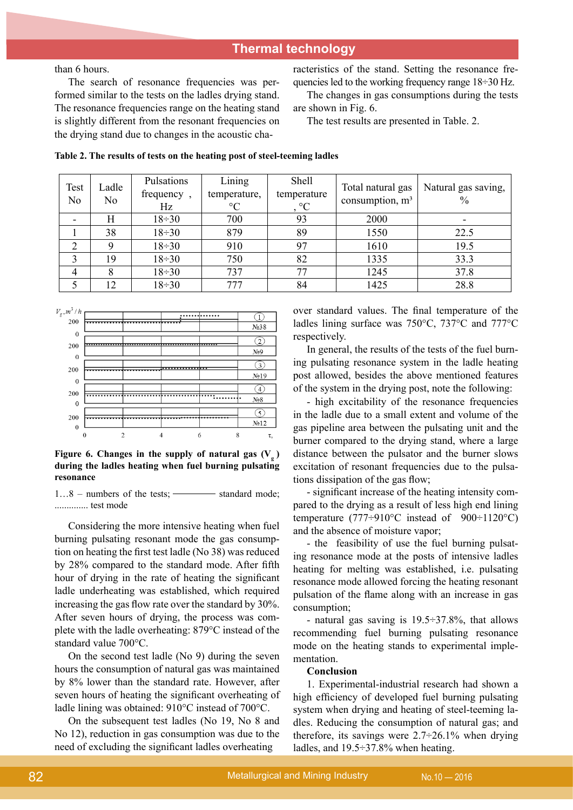than 6 hours.

The search of resonance frequencies was performed similar to the tests on the ladles drying stand. The resonance frequencies range on the heating stand is slightly different from the resonant frequencies on the drying stand due to changes in the acoustic characteristics of the stand. Setting the resonance frequencies led to the working frequency range 18÷30 Hz.

The changes in gas consumptions during the tests are shown in Fig. 6.

The test results are presented in Table. 2.

| Test<br>N <sub>0</sub> | Ladle<br>No | Pulsations<br>frequency,<br>Hz | Lining<br>temperature,<br>$\rm ^{\circ}C$ | Shell<br>temperature<br>$, \degree C$ | Total natural gas<br>consumption, $m3$ | Natural gas saving,<br>$\frac{0}{0}$ |
|------------------------|-------------|--------------------------------|-------------------------------------------|---------------------------------------|----------------------------------------|--------------------------------------|
|                        | H           | $18 \div 30$                   | 700                                       | 93                                    | 2000                                   |                                      |
|                        | 38          | $18 \div 30$                   | 879                                       | 89                                    | 1550                                   | 22.5                                 |
| $\overline{2}$         | Q           | $18 \div 30$                   | 910                                       | 97                                    | 1610                                   | 19.5                                 |
| 3                      | 19          | $18 \div 30$                   | 750                                       | 82                                    | 1335                                   | 33.3                                 |
| $\overline{4}$         | 8           | $18 \div 30$                   | 737                                       | 77                                    | 1245                                   | 37.8                                 |
|                        | 12          | $18 \div 30$                   | 777                                       | 84                                    | 1425                                   | 28.8                                 |





#### Figure 6. Changes in the supply of natural gas  $(V_a)$ **during the ladles heating when fuel burning pulsating resonance**

1...8 – numbers of the tests; <u>in standard mode</u>; .............. test mode

Considering the more intensive heating when fuel burning pulsating resonant mode the gas consumption on heating the first test ladle (No 38) was reduced by 28% compared to the standard mode. After fifth hour of drying in the rate of heating the significant ladle underheating was established, which required increasing the gas flow rate over the standard by 30%. After seven hours of drying, the process was complete with the ladle overheating: 879°С instead of the standard value 700°С.

On the second test ladle (No 9) during the seven hours the consumption of natural gas was maintained by 8% lower than the standard rate. However, after seven hours of heating the significant overheating of ladle lining was obtained: 910°С instead of 700°С.

On the subsequent test ladles (No 19, No 8 and No 12), reduction in gas consumption was due to the need of excluding the significant ladles overheating

over standard values. The final temperature of the ladles lining surface was 750°С, 737°С and 777°С respectively.

In general, the results of the tests of the fuel burning pulsating resonance system in the ladle heating post allowed, besides the above mentioned features of the system in the drying post, note the following:

- high excitability of the resonance frequencies in the ladle due to a small extent and volume of the gas pipeline area between the pulsating unit and the burner compared to the drying stand, where a large distance between the pulsator and the burner slows excitation of resonant frequencies due to the pulsations dissipation of the gas flow;

- significant increase of the heating intensity compared to the drying as a result of less high end lining temperature (777÷910°C instead of 900÷1120°C) and the absence of moisture vapor;

- the feasibility of use the fuel burning pulsating resonance mode at the posts of intensive ladles heating for melting was established, i.e. pulsating resonance mode allowed forcing the heating resonant pulsation of the flame along with an increase in gas consumption;

- natural gas saving is  $19.5 \div 37.8\%$ , that allows recommending fuel burning pulsating resonance mode on the heating stands to experimental implementation.

#### **Conclusion**

1. Experimental-industrial research had shown a high efficiency of developed fuel burning pulsating system when drying and heating of steel-teeming ladles. Reducing the consumption of natural gas; and therefore, its savings were  $2.7\div 26.1\%$  when drying ladles, and 19.5÷37.8% when heating.